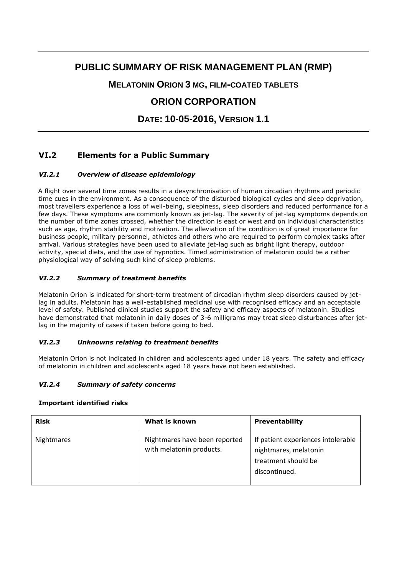# **PUBLIC SUMMARY OF RISK MANAGEMENT PLAN (RMP)**

**MELATONIN ORION 3 MG, FILM-COATED TABLETS**

# **ORION CORPORATION**

**DATE: 10-05-2016, VERSION 1.1**

# **VI.2 Elements for a Public Summary**

## *VI.2.1 Overview of disease epidemiology*

A flight over several time zones results in a desynchronisation of human circadian rhythms and periodic time cues in the environment. As a consequence of the disturbed biological cycles and sleep deprivation, most travellers experience a loss of well-being, sleepiness, sleep disorders and reduced performance for a few days. These symptoms are commonly known as jet-lag. The severity of jet-lag symptoms depends on the number of time zones crossed, whether the direction is east or west and on individual characteristics such as age, rhythm stability and motivation. The alleviation of the condition is of great importance for business people, military personnel, athletes and others who are required to perform complex tasks after arrival. Various strategies have been used to alleviate jet-lag such as bright light therapy, outdoor activity, special diets, and the use of hypnotics. Timed administration of melatonin could be a rather physiological way of solving such kind of sleep problems.

## *VI.2.2 Summary of treatment benefits*

Melatonin Orion is indicated for short-term treatment of circadian rhythm sleep disorders caused by jetlag in adults. Melatonin has a well-established medicinal use with recognised efficacy and an acceptable level of safety. Published clinical studies support the safety and efficacy aspects of melatonin. Studies have demonstrated that melatonin in daily doses of 3-6 milligrams may treat sleep disturbances after jetlag in the majority of cases if taken before going to bed.

#### *VI.2.3 Unknowns relating to treatment benefits*

Melatonin Orion is not indicated in children and adolescents aged under 18 years. The safety and efficacy of melatonin in children and adolescents aged 18 years have not been established.

#### *VI.2.4 Summary of safety concerns*

#### **Important identified risks**

| <b>Risk</b> | What is known                                             | <b>Preventability</b>                                                                               |
|-------------|-----------------------------------------------------------|-----------------------------------------------------------------------------------------------------|
| Nightmares  | Nightmares have been reported<br>with melatonin products. | If patient experiences intolerable<br>nightmares, melatonin<br>treatment should be<br>discontinued. |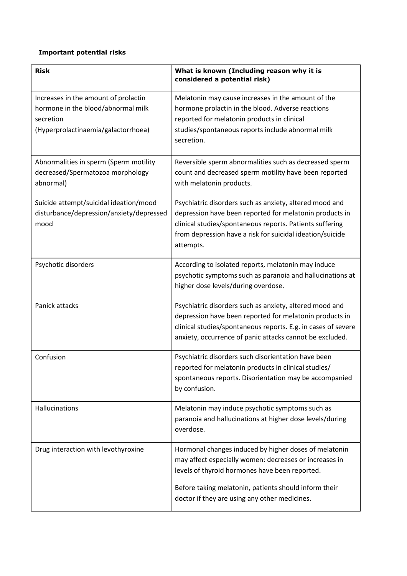# **Important potential risks**

| <b>Risk</b>                                                                                                                    | What is known (Including reason why it is<br>considered a potential risk)                                                                                                                                                                                                   |
|--------------------------------------------------------------------------------------------------------------------------------|-----------------------------------------------------------------------------------------------------------------------------------------------------------------------------------------------------------------------------------------------------------------------------|
| Increases in the amount of prolactin<br>hormone in the blood/abnormal milk<br>secretion<br>(Hyperprolactinaemia/galactorrhoea) | Melatonin may cause increases in the amount of the<br>hormone prolactin in the blood. Adverse reactions<br>reported for melatonin products in clinical<br>studies/spontaneous reports include abnormal milk<br>secretion.                                                   |
| Abnormalities in sperm (Sperm motility<br>decreased/Spermatozoa morphology<br>abnormal)                                        | Reversible sperm abnormalities such as decreased sperm<br>count and decreased sperm motility have been reported<br>with melatonin products.                                                                                                                                 |
| Suicide attempt/suicidal ideation/mood<br>disturbance/depression/anxiety/depressed<br>mood                                     | Psychiatric disorders such as anxiety, altered mood and<br>depression have been reported for melatonin products in<br>clinical studies/spontaneous reports. Patients suffering<br>from depression have a risk for suicidal ideation/suicide<br>attempts.                    |
| Psychotic disorders                                                                                                            | According to isolated reports, melatonin may induce<br>psychotic symptoms such as paranoia and hallucinations at<br>higher dose levels/during overdose.                                                                                                                     |
| Panick attacks                                                                                                                 | Psychiatric disorders such as anxiety, altered mood and<br>depression have been reported for melatonin products in<br>clinical studies/spontaneous reports. E.g. in cases of severe<br>anxiety, occurrence of panic attacks cannot be excluded.                             |
| Confusion                                                                                                                      | Psychiatric disorders such disorientation have been<br>reported for melatonin products in clinical studies/<br>spontaneous reports. Disorientation may be accompanied<br>by confusion.                                                                                      |
| Hallucinations                                                                                                                 | Melatonin may induce psychotic symptoms such as<br>paranoia and hallucinations at higher dose levels/during<br>overdose.                                                                                                                                                    |
| Drug interaction with levothyroxine                                                                                            | Hormonal changes induced by higher doses of melatonin<br>may affect especially women: decreases or increases in<br>levels of thyroid hormones have been reported.<br>Before taking melatonin, patients should inform their<br>doctor if they are using any other medicines. |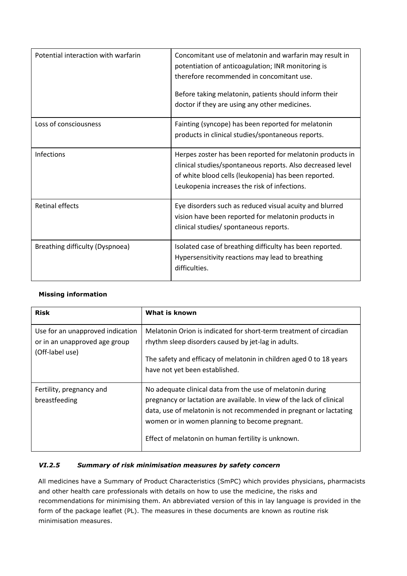| Potential interaction with warfarin | Concomitant use of melatonin and warfarin may result in<br>potentiation of anticoagulation; INR monitoring is<br>therefore recommended in concomitant use.<br>Before taking melatonin, patients should inform their<br>doctor if they are using any other medicines. |
|-------------------------------------|----------------------------------------------------------------------------------------------------------------------------------------------------------------------------------------------------------------------------------------------------------------------|
| Loss of consciousness               | Fainting (syncope) has been reported for melatonin<br>products in clinical studies/spontaneous reports.                                                                                                                                                              |
| Infections                          | Herpes zoster has been reported for melatonin products in<br>clinical studies/spontaneous reports. Also decreased level<br>of white blood cells (leukopenia) has been reported.<br>Leukopenia increases the risk of infections.                                      |
| <b>Retinal effects</b>              | Eye disorders such as reduced visual acuity and blurred<br>vision have been reported for melatonin products in<br>clinical studies/ spontaneous reports.                                                                                                             |
| Breathing difficulty (Dyspnoea)     | Isolated case of breathing difficulty has been reported.<br>Hypersensitivity reactions may lead to breathing<br>difficulties.                                                                                                                                        |

# **Missing information**

| <b>Risk</b>                                                                          | What is known                                                                                                                                                                                                                                                                                                     |
|--------------------------------------------------------------------------------------|-------------------------------------------------------------------------------------------------------------------------------------------------------------------------------------------------------------------------------------------------------------------------------------------------------------------|
| Use for an unapproved indication<br>or in an unapproved age group<br>(Off-label use) | Melatonin Orion is indicated for short-term treatment of circadian<br>rhythm sleep disorders caused by jet-lag in adults.<br>The safety and efficacy of melatonin in children aged 0 to 18 years<br>have not yet been established.                                                                                |
| Fertility, pregnancy and<br>breastfeeding                                            | No adequate clinical data from the use of melatonin during<br>pregnancy or lactation are available. In view of the lack of clinical<br>data, use of melatonin is not recommended in pregnant or lactating<br>women or in women planning to become pregnant.<br>Effect of melatonin on human fertility is unknown. |

# *VI.2.5 Summary of risk minimisation measures by safety concern*

All medicines have a Summary of Product Characteristics (SmPC) which provides physicians, pharmacists and other health care professionals with details on how to use the medicine, the risks and recommendations for minimising them. An abbreviated version of this in lay language is provided in the form of the package leaflet (PL). The measures in these documents are known as routine risk minimisation measures.